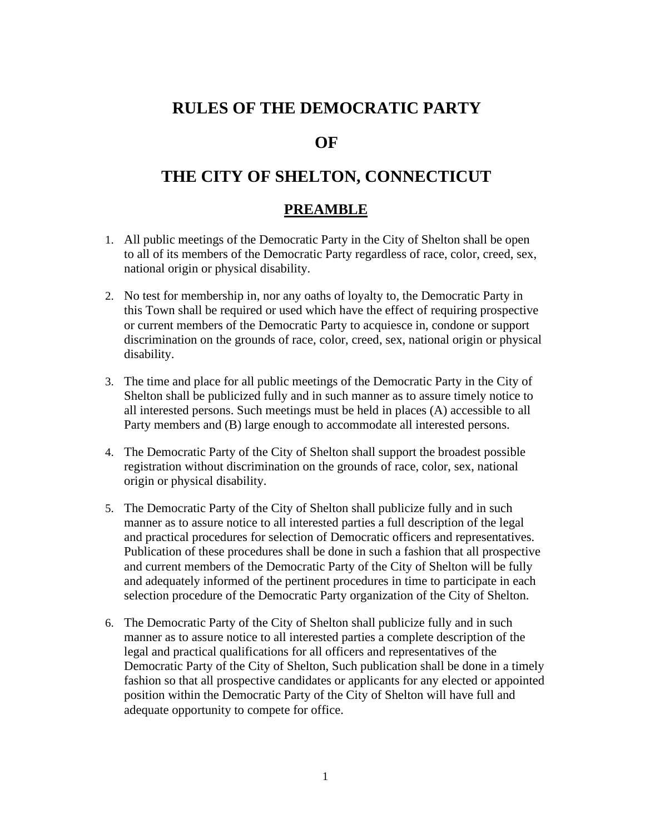# **RULES OF THE DEMOCRATIC PARTY**

# **OF**

# **THE CITY OF SHELTON, CONNECTICUT**

### **PREAMBLE**

- 1. All public meetings of the Democratic Party in the City of Shelton shall be open to all of its members of the Democratic Party regardless of race, color, creed, sex, national origin or physical disability.
- 2. No test for membership in, nor any oaths of loyalty to, the Democratic Party in this Town shall be required or used which have the effect of requiring prospective or current members of the Democratic Party to acquiesce in, condone or support discrimination on the grounds of race, color, creed, sex, national origin or physical disability.
- 3. The time and place for all public meetings of the Democratic Party in the City of Shelton shall be publicized fully and in such manner as to assure timely notice to all interested persons. Such meetings must be held in places (A) accessible to all Party members and (B) large enough to accommodate all interested persons.
- 4. The Democratic Party of the City of Shelton shall support the broadest possible registration without discrimination on the grounds of race, color, sex, national origin or physical disability.
- 5. The Democratic Party of the City of Shelton shall publicize fully and in such manner as to assure notice to all interested parties a full description of the legal and practical procedures for selection of Democratic officers and representatives. Publication of these procedures shall be done in such a fashion that all prospective and current members of the Democratic Party of the City of Shelton will be fully and adequately informed of the pertinent procedures in time to participate in each selection procedure of the Democratic Party organization of the City of Shelton.
- 6. The Democratic Party of the City of Shelton shall publicize fully and in such manner as to assure notice to all interested parties a complete description of the legal and practical qualifications for all officers and representatives of the Democratic Party of the City of Shelton, Such publication shall be done in a timely fashion so that all prospective candidates or applicants for any elected or appointed position within the Democratic Party of the City of Shelton will have full and adequate opportunity to compete for office.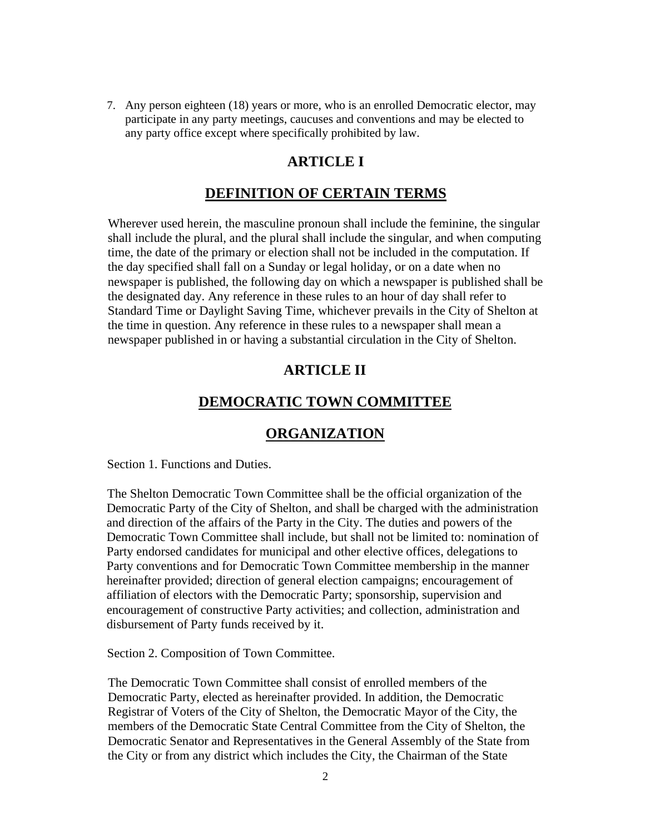7. Any person eighteen (18) years or more, who is an enrolled Democratic elector, may participate in any party meetings, caucuses and conventions and may be elected to any party office except where specifically prohibited by law.

### **ARTICLE I**

#### **DEFINITION OF CERTAIN TERMS**

Wherever used herein, the masculine pronoun shall include the feminine, the singular shall include the plural, and the plural shall include the singular, and when computing time, the date of the primary or election shall not be included in the computation. If the day specified shall fall on a Sunday or legal holiday, or on a date when no newspaper is published, the following day on which a newspaper is published shall be the designated day. Any reference in these rules to an hour of day shall refer to Standard Time or Daylight Saving Time, whichever prevails in the City of Shelton at the time in question. Any reference in these rules to a newspaper shall mean a newspaper published in or having a substantial circulation in the City of Shelton.

### **ARTICLE II**

#### **DEMOCRATIC TOWN COMMITTEE**

### **ORGANIZATION**

Section 1. Functions and Duties.

The Shelton Democratic Town Committee shall be the official organization of the Democratic Party of the City of Shelton, and shall be charged with the administration and direction of the affairs of the Party in the City. The duties and powers of the Democratic Town Committee shall include, but shall not be limited to: nomination of Party endorsed candidates for municipal and other elective offices, delegations to Party conventions and for Democratic Town Committee membership in the manner hereinafter provided; direction of general election campaigns; encouragement of affiliation of electors with the Democratic Party; sponsorship, supervision and encouragement of constructive Party activities; and collection, administration and disbursement of Party funds received by it.

Section 2. Composition of Town Committee.

The Democratic Town Committee shall consist of enrolled members of the Democratic Party, elected as hereinafter provided. In addition, the Democratic Registrar of Voters of the City of Shelton, the Democratic Mayor of the City, the members of the Democratic State Central Committee from the City of Shelton, the Democratic Senator and Representatives in the General Assembly of the State from the City or from any district which includes the City, the Chairman of the State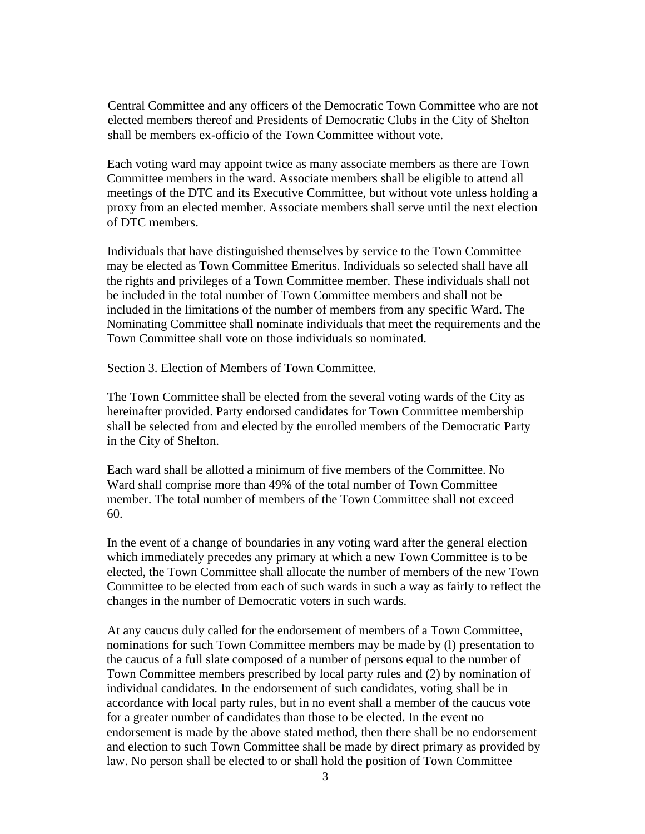Central Committee and any officers of the Democratic Town Committee who are not elected members thereof and Presidents of Democratic Clubs in the City of Shelton shall be members ex-officio of the Town Committee without vote.

Each voting ward may appoint twice as many associate members as there are Town Committee members in the ward. Associate members shall be eligible to attend all meetings of the DTC and its Executive Committee, but without vote unless holding a proxy from an elected member. Associate members shall serve until the next election of DTC members.

Individuals that have distinguished themselves by service to the Town Committee may be elected as Town Committee Emeritus. Individuals so selected shall have all the rights and privileges of a Town Committee member. These individuals shall not be included in the total number of Town Committee members and shall not be included in the limitations of the number of members from any specific Ward. The Nominating Committee shall nominate individuals that meet the requirements and the Town Committee shall vote on those individuals so nominated.

Section 3. Election of Members of Town Committee.

The Town Committee shall be elected from the several voting wards of the City as hereinafter provided. Party endorsed candidates for Town Committee membership shall be selected from and elected by the enrolled members of the Democratic Party in the City of Shelton.

Each ward shall be allotted a minimum of five members of the Committee. No Ward shall comprise more than 49% of the total number of Town Committee member. The total number of members of the Town Committee shall not exceed 60.

In the event of a change of boundaries in any voting ward after the general election which immediately precedes any primary at which a new Town Committee is to be elected, the Town Committee shall allocate the number of members of the new Town Committee to be elected from each of such wards in such a way as fairly to reflect the changes in the number of Democratic voters in such wards.

At any caucus duly called for the endorsement of members of a Town Committee, nominations for such Town Committee members may be made by (l) presentation to the caucus of a full slate composed of a number of persons equal to the number of Town Committee members prescribed by local party rules and (2) by nomination of individual candidates. In the endorsement of such candidates, voting shall be in accordance with local party rules, but in no event shall a member of the caucus vote for a greater number of candidates than those to be elected. In the event no endorsement is made by the above stated method, then there shall be no endorsement and election to such Town Committee shall be made by direct primary as provided by law. No person shall be elected to or shall hold the position of Town Committee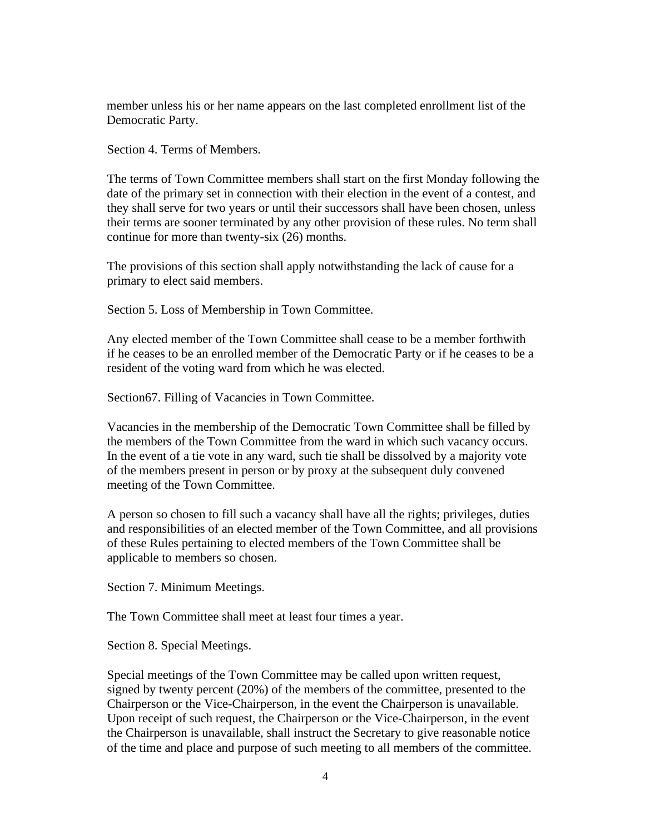member unless his or her name appears on the last completed enrollment list of the Democratic Party.

Section 4. Terms of Members.

The terms of Town Committee members shall start on the first Monday following the date of the primary set in connection with their election in the event of a contest, and they shall serve for two years or until their successors shall have been chosen, unless their terms are sooner terminated by any other provision of these rules. No term shall continue for more than twenty-six (26) months.

The provisions of this section shall apply notwithstanding the lack of cause for a primary to elect said members.

Section 5. Loss of Membership in Town Committee.

Any elected member of the Town Committee shall cease to be a member forthwith if he ceases to be an enrolled member of the Democratic Party or if he ceases to be a resident of the voting ward from which he was elected.

Section67. Filling of Vacancies in Town Committee.

Vacancies in the membership of the Democratic Town Committee shall be filled by the members of the Town Committee from the ward in which such vacancy occurs. In the event of a tie vote in any ward, such tie shall be dissolved by a majority vote of the members present in person or by proxy at the subsequent duly convened meeting of the Town Committee.

A person so chosen to fill such a vacancy shall have all the rights; privileges, duties and responsibilities of an elected member of the Town Committee, and all provisions of these Rules pertaining to elected members of the Town Committee shall be applicable to members so chosen.

Section 7. Minimum Meetings.

The Town Committee shall meet at least four times a year.

Section 8. Special Meetings.

Special meetings of the Town Committee may be called upon written request, signed by twenty percent (20%) of the members of the committee, presented to the Chairperson or the Vice-Chairperson, in the event the Chairperson is unavailable. Upon receipt of such request, the Chairperson or the Vice-Chairperson, in the event the Chairperson is unavailable, shall instruct the Secretary to give reasonable notice of the time and place and purpose of such meeting to all members of the committee.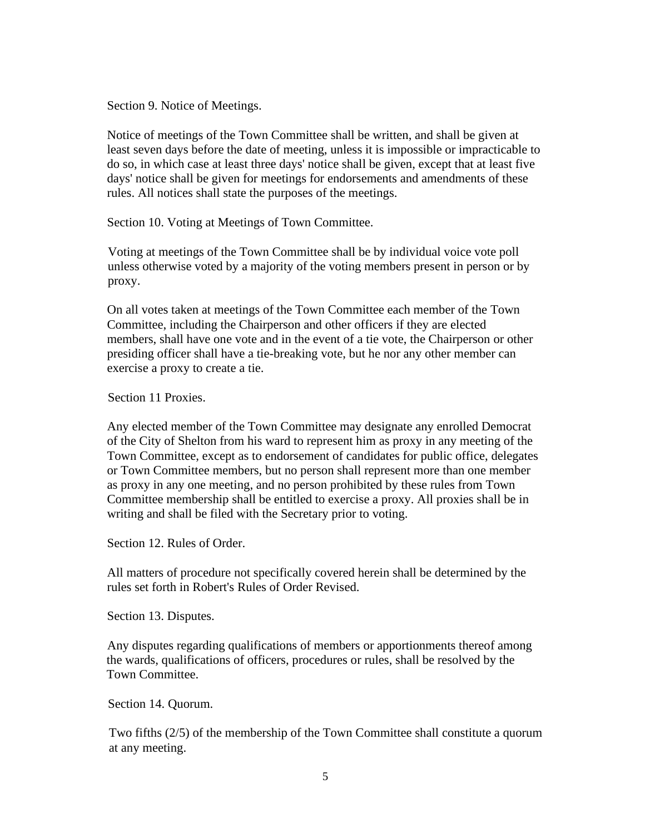Section 9. Notice of Meetings.

Notice of meetings of the Town Committee shall be written, and shall be given at least seven days before the date of meeting, unless it is impossible or impracticable to do so, in which case at least three days' notice shall be given, except that at least five days' notice shall be given for meetings for endorsements and amendments of these rules. All notices shall state the purposes of the meetings.

Section 10. Voting at Meetings of Town Committee.

Voting at meetings of the Town Committee shall be by individual voice vote poll unless otherwise voted by a majority of the voting members present in person or by proxy.

On all votes taken at meetings of the Town Committee each member of the Town Committee, including the Chairperson and other officers if they are elected members, shall have one vote and in the event of a tie vote, the Chairperson or other presiding officer shall have a tie-breaking vote, but he nor any other member can exercise a proxy to create a tie.

Section 11 Proxies.

Any elected member of the Town Committee may designate any enrolled Democrat of the City of Shelton from his ward to represent him as proxy in any meeting of the Town Committee, except as to endorsement of candidates for public office, delegates or Town Committee members, but no person shall represent more than one member as proxy in any one meeting, and no person prohibited by these rules from Town Committee membership shall be entitled to exercise a proxy. All proxies shall be in writing and shall be filed with the Secretary prior to voting.

Section 12. Rules of Order.

All matters of procedure not specifically covered herein shall be determined by the rules set forth in Robert's Rules of Order Revised.

Section 13. Disputes.

Any disputes regarding qualifications of members or apportionments thereof among the wards, qualifications of officers, procedures or rules, shall be resolved by the Town Committee.

Section 14. Quorum.

Two fifths (2/5) of the membership of the Town Committee shall constitute a quorum at any meeting.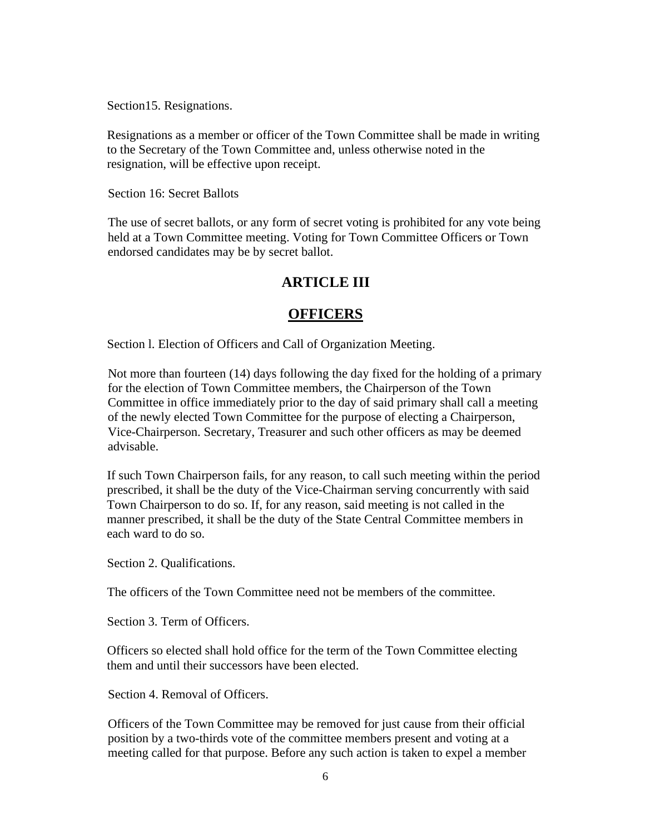Section15. Resignations.

Resignations as a member or officer of the Town Committee shall be made in writing to the Secretary of the Town Committee and, unless otherwise noted in the resignation, will be effective upon receipt.

Section 16: Secret Ballots

The use of secret ballots, or any form of secret voting is prohibited for any vote being held at a Town Committee meeting. Voting for Town Committee Officers or Town endorsed candidates may be by secret ballot.

# **ARTICLE III**

# **OFFICERS**

Section l. Election of Officers and Call of Organization Meeting.

Not more than fourteen (14) days following the day fixed for the holding of a primary for the election of Town Committee members, the Chairperson of the Town Committee in office immediately prior to the day of said primary shall call a meeting of the newly elected Town Committee for the purpose of electing a Chairperson, Vice-Chairperson. Secretary, Treasurer and such other officers as may be deemed advisable.

If such Town Chairperson fails, for any reason, to call such meeting within the period prescribed, it shall be the duty of the Vice-Chairman serving concurrently with said Town Chairperson to do so. If, for any reason, said meeting is not called in the manner prescribed, it shall be the duty of the State Central Committee members in each ward to do so.

Section 2. Qualifications.

The officers of the Town Committee need not be members of the committee.

Section 3. Term of Officers.

Officers so elected shall hold office for the term of the Town Committee electing them and until their successors have been elected.

Section 4. Removal of Officers.

Officers of the Town Committee may be removed for just cause from their official position by a two-thirds vote of the committee members present and voting at a meeting called for that purpose. Before any such action is taken to expel a member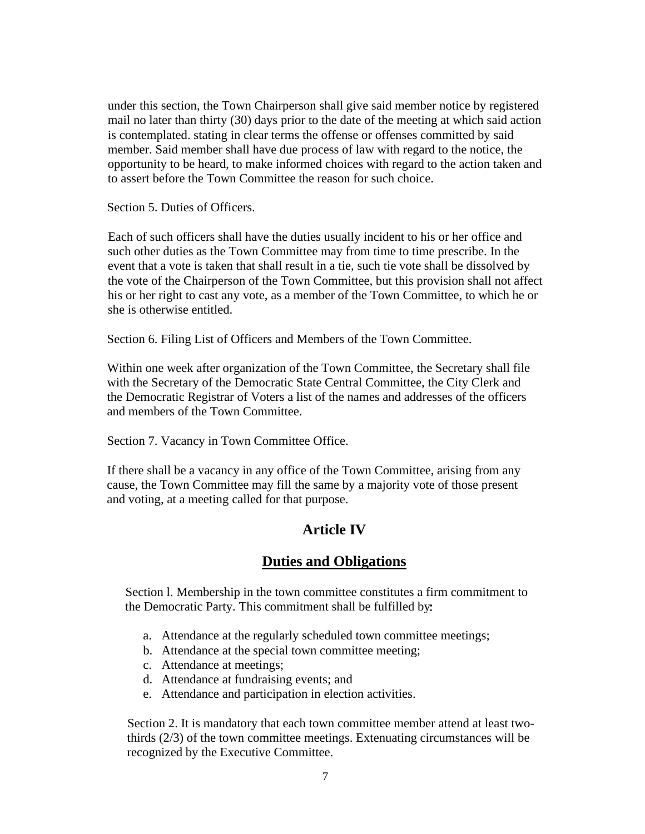under this section, the Town Chairperson shall give said member notice by registered mail no later than thirty (30) days prior to the date of the meeting at which said action is contemplated. stating in clear terms the offense or offenses committed by said member. Said member shall have due process of law with regard to the notice, the opportunity to be heard, to make informed choices with regard to the action taken and to assert before the Town Committee the reason for such choice.

Section 5. Duties of Officers.

Each of such officers shall have the duties usually incident to his or her office and such other duties as the Town Committee may from time to time prescribe. In the event that a vote is taken that shall result in a tie, such tie vote shall be dissolved by the vote of the Chairperson of the Town Committee, but this provision shall not affect his or her right to cast any vote, as a member of the Town Committee, to which he or she is otherwise entitled.

Section 6. Filing List of Officers and Members of the Town Committee.

Within one week after organization of the Town Committee, the Secretary shall file with the Secretary of the Democratic State Central Committee, the City Clerk and the Democratic Registrar of Voters a list of the names and addresses of the officers and members of the Town Committee.

Section 7. Vacancy in Town Committee Office.

If there shall be a vacancy in any office of the Town Committee, arising from any cause, the Town Committee may fill the same by a majority vote of those present and voting, at a meeting called for that purpose.

# **Article IV**

### **Duties and Obligations**

Section l. Membership in the town committee constitutes a firm commitment to the Democratic Party. This commitment shall be fulfilled by

- a. Attendance at the regularly scheduled town committee meetings;
- b. Attendance at the special town committee meeting;
- c. Attendance at meetings;
- d. Attendance at fundraising events; and
- e. Attendance and participation in election activities.

Section 2. It is mandatory that each town committee member attend at least twothirds (2/3) of the town committee meetings. Extenuating circumstances will be recognized by the Executive Committee.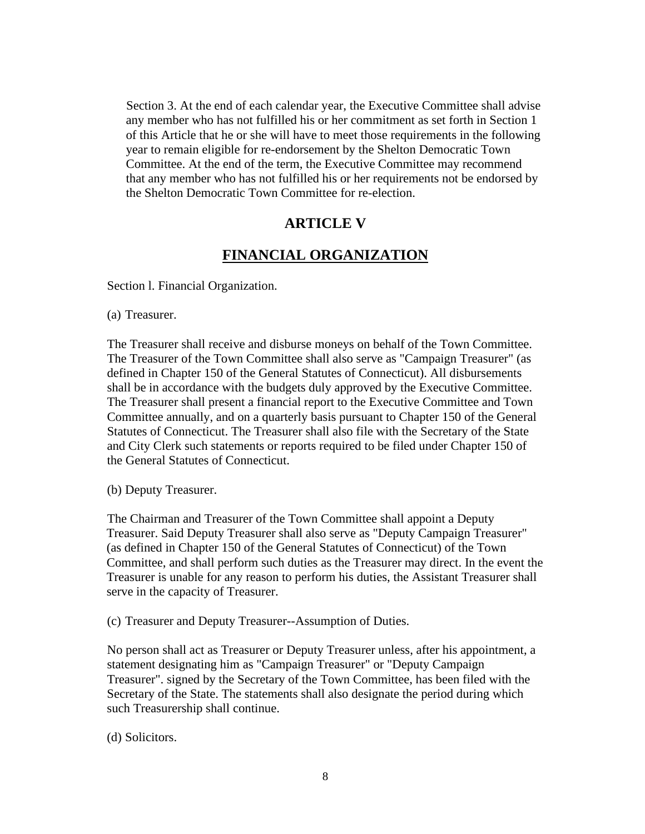Section 3. At the end of each calendar year, the Executive Committee shall advise any member who has not fulfilled his or her commitment as set forth in Section 1 of this Article that he or she will have to meet those requirements in the following year to remain eligible for re-endorsement by the Shelton Democratic Town Committee. At the end of the term, the Executive Committee may recommend that any member who has not fulfilled his or her requirements not be endorsed by the Shelton Democratic Town Committee for re-election.

### **ARTICLE V**

#### **FINANCIAL ORGANIZATION**

Section l. Financial Organization.

(a) Treasurer.

The Treasurer shall receive and disburse moneys on behalf of the Town Committee. The Treasurer of the Town Committee shall also serve as "Campaign Treasurer" (as defined in Chapter 150 of the General Statutes of Connecticut). All disbursements shall be in accordance with the budgets duly approved by the Executive Committee. The Treasurer shall present a financial report to the Executive Committee and Town Committee annually, and on a quarterly basis pursuant to Chapter 150 of the General Statutes of Connecticut. The Treasurer shall also file with the Secretary of the State and City Clerk such statements or reports required to be filed under Chapter 150 of the General Statutes of Connecticut.

(b) Deputy Treasurer.

The Chairman and Treasurer of the Town Committee shall appoint a Deputy Treasurer. Said Deputy Treasurer shall also serve as "Deputy Campaign Treasurer" (as defined in Chapter 150 of the General Statutes of Connecticut) of the Town Committee, and shall perform such duties as the Treasurer may direct. In the event the Treasurer is unable for any reason to perform his duties, the Assistant Treasurer shall serve in the capacity of Treasurer.

(c) Treasurer and Deputy Treasurer--Assumption of Duties.

No person shall act as Treasurer or Deputy Treasurer unless, after his appointment, a statement designating him as "Campaign Treasurer" or "Deputy Campaign Treasurer". signed by the Secretary of the Town Committee, has been filed with the Secretary of the State. The statements shall also designate the period during which such Treasurership shall continue.

(d) Solicitors.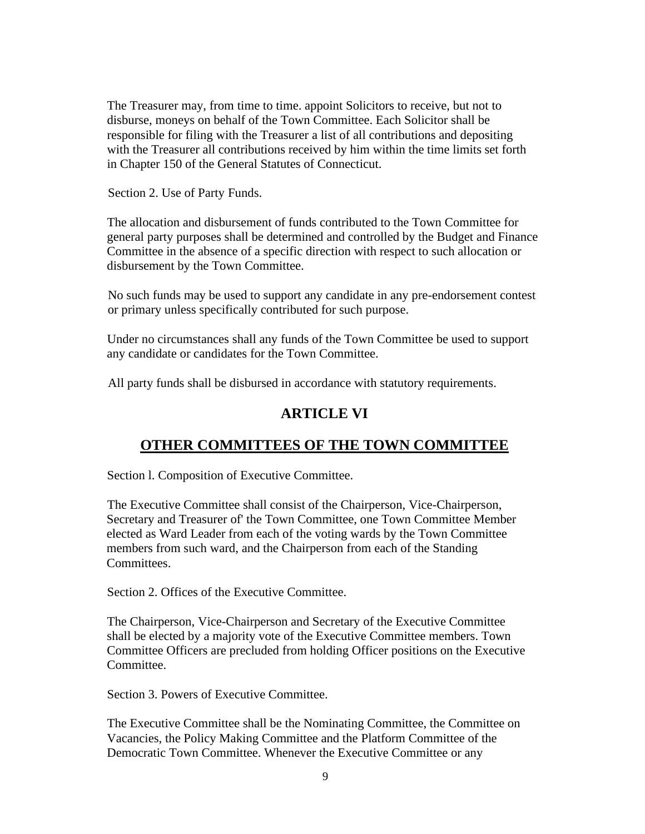The Treasurer may, from time to time. appoint Solicitors to receive, but not to disburse, moneys on behalf of the Town Committee. Each Solicitor shall be responsible for filing with the Treasurer a list of all contributions and depositing with the Treasurer all contributions received by him within the time limits set forth in Chapter 150 of the General Statutes of Connecticut.

Section 2. Use of Party Funds.

The allocation and disbursement of funds contributed to the Town Committee for general party purposes shall be determined and controlled by the Budget and Finance Committee in the absence of a specific direction with respect to such allocation or disbursement by the Town Committee.

No such funds may be used to support any candidate in any pre-endorsement contest or primary unless specifically contributed for such purpose.

Under no circumstances shall any funds of the Town Committee be used to support any candidate or candidates for the Town Committee.

All party funds shall be disbursed in accordance with statutory requirements.

# **ARTICLE VI**

# **OTHER COMMITTEES OF THE TOWN COMMITTEE**

Section l. Composition of Executive Committee.

The Executive Committee shall consist of the Chairperson, Vice-Chairperson, Secretary and Treasurer of' the Town Committee, one Town Committee Member elected as Ward Leader from each of the voting wards by the Town Committee members from such ward, and the Chairperson from each of the Standing Committees.

Section 2. Offices of the Executive Committee.

The Chairperson, Vice-Chairperson and Secretary of the Executive Committee shall be elected by a majority vote of the Executive Committee members. Town Committee Officers are precluded from holding Officer positions on the Executive Committee.

Section 3. Powers of Executive Committee.

The Executive Committee shall be the Nominating Committee, the Committee on Vacancies, the Policy Making Committee and the Platform Committee of the Democratic Town Committee. Whenever the Executive Committee or any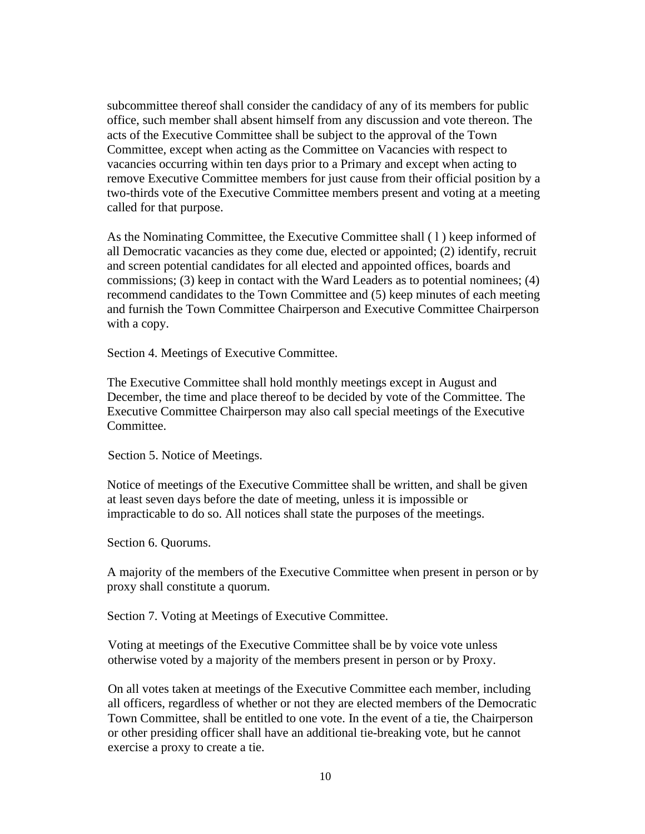subcommittee thereof shall consider the candidacy of any of its members for public office, such member shall absent himself from any discussion and vote thereon. The acts of the Executive Committee shall be subject to the approval of the Town Committee, except when acting as the Committee on Vacancies with respect to vacancies occurring within ten days prior to a Primary and except when acting to remove Executive Committee members for just cause from their official position by a two-thirds vote of the Executive Committee members present and voting at a meeting called for that purpose.

As the Nominating Committee, the Executive Committee shall ( l ) keep informed of all Democratic vacancies as they come due, elected or appointed; (2) identify, recruit and screen potential candidates for all elected and appointed offices, boards and commissions; (3) keep in contact with the Ward Leaders as to potential nominees; (4) recommend candidates to the Town Committee and (5) keep minutes of each meeting and furnish the Town Committee Chairperson and Executive Committee Chairperson with a copy.

Section 4. Meetings of Executive Committee.

The Executive Committee shall hold monthly meetings except in August and December, the time and place thereof to be decided by vote of the Committee. The Executive Committee Chairperson may also call special meetings of the Executive Committee.

Section 5. Notice of Meetings.

Notice of meetings of the Executive Committee shall be written, and shall be given at least seven days before the date of meeting, unless it is impossible or impracticable to do so. All notices shall state the purposes of the meetings.

Section 6. Quorums.

A majority of the members of the Executive Committee when present in person or by proxy shall constitute a quorum.

Section 7. Voting at Meetings of Executive Committee.

Voting at meetings of the Executive Committee shall be by voice vote unless otherwise voted by a majority of the members present in person or by Proxy.

On all votes taken at meetings of the Executive Committee each member, including all officers, regardless of whether or not they are elected members of the Democratic Town Committee, shall be entitled to one vote. In the event of a tie, the Chairperson or other presiding officer shall have an additional tie-breaking vote, but he cannot exercise a proxy to create a tie.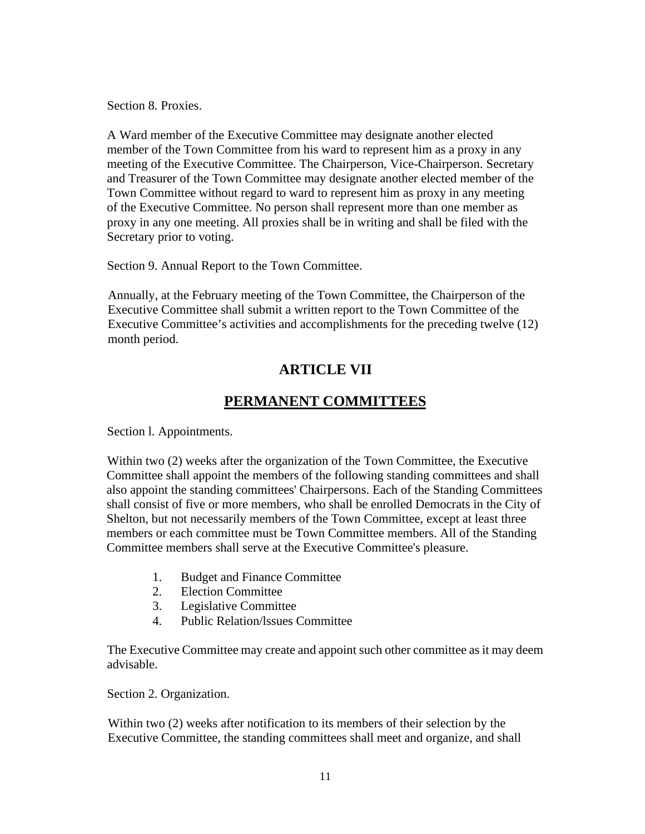Section 8. Proxies.

A Ward member of the Executive Committee may designate another elected member of the Town Committee from his ward to represent him as a proxy in any meeting of the Executive Committee. The Chairperson, Vice-Chairperson. Secretary and Treasurer of the Town Committee may designate another elected member of the Town Committee without regard to ward to represent him as proxy in any meeting of the Executive Committee. No person shall represent more than one member as proxy in any one meeting. All proxies shall be in writing and shall be filed with the Secretary prior to voting.

Section 9. Annual Report to the Town Committee.

Annually, at the February meeting of the Town Committee, the Chairperson of the Executive Committee shall submit a written report to the Town Committee of the Executive Committee's activities and accomplishments for the preceding twelve (12) month period.

# **ARTICLE VII**

### **PERMANENT COMMITTEES**

Section l. Appointments.

Within two (2) weeks after the organization of the Town Committee, the Executive Committee shall appoint the members of the following standing committees and shall also appoint the standing committees' Chairpersons. Each of the Standing Committees shall consist of five or more members, who shall be enrolled Democrats in the City of Shelton, but not necessarily members of the Town Committee, except at least three members or each committee must be Town Committee members. All of the Standing Committee members shall serve at the Executive Committee's pleasure.

- 1. Budget and Finance Committee
- 2. Election Committee
- 3. Legislative Committee
- 4. Public Relation/lssues Committee

The Executive Committee may create and appoint such other committee as it may deem advisable.

Section 2. Organization.

Within two (2) weeks after notification to its members of their selection by the Executive Committee, the standing committees shall meet and organize, and shall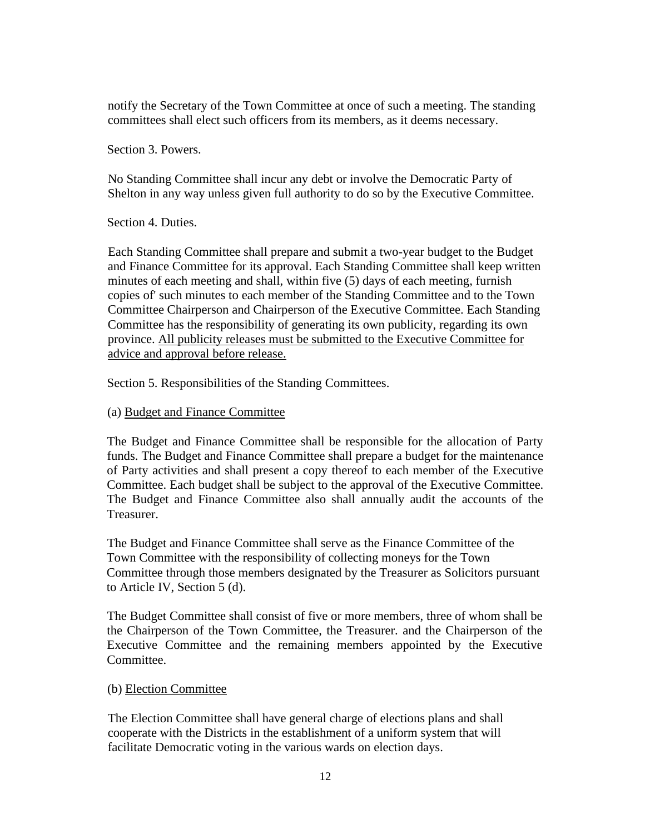notify the Secretary of the Town Committee at once of such a meeting. The standing committees shall elect such officers from its members, as it deems necessary.

Section 3. Powers.

No Standing Committee shall incur any debt or involve the Democratic Party of Shelton in any way unless given full authority to do so by the Executive Committee.

Section 4. Duties.

Each Standing Committee shall prepare and submit a two-year budget to the Budget and Finance Committee for its approval. Each Standing Committee shall keep written minutes of each meeting and shall, within five (5) days of each meeting, furnish copies of' such minutes to each member of the Standing Committee and to the Town Committee Chairperson and Chairperson of the Executive Committee. Each Standing Committee has the responsibility of generating its own publicity, regarding its own province. All publicity releases must be submitted to the Executive Committee for advice and approval before release.

Section 5. Responsibilities of the Standing Committees.

(a) Budget and Finance Committee

The Budget and Finance Committee shall be responsible for the allocation of Party funds. The Budget and Finance Committee shall prepare a budget for the maintenance of Party activities and shall present a copy thereof to each member of the Executive Committee. Each budget shall be subject to the approval of the Executive Committee. The Budget and Finance Committee also shall annually audit the accounts of the Treasurer.

The Budget and Finance Committee shall serve as the Finance Committee of the Town Committee with the responsibility of collecting moneys for the Town Committee through those members designated by the Treasurer as Solicitors pursuant to Article IV, Section 5 (d).

The Budget Committee shall consist of five or more members, three of whom shall be the Chairperson of the Town Committee, the Treasurer. and the Chairperson of the Executive Committee and the remaining members appointed by the Executive Committee.

#### (b) Election Committee

The Election Committee shall have general charge of elections plans and shall cooperate with the Districts in the establishment of a uniform system that will facilitate Democratic voting in the various wards on election days.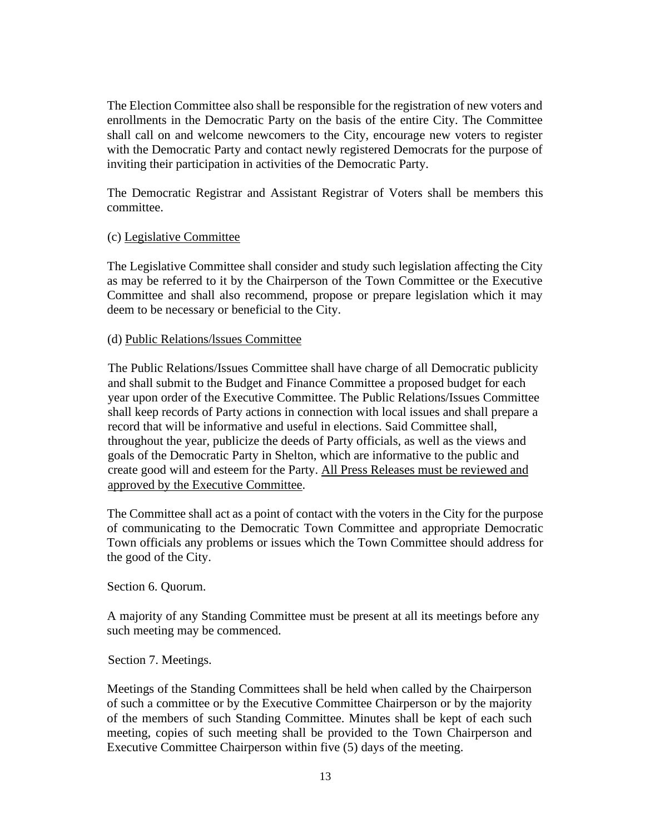The Election Committee also shall be responsible for the registration of new voters and enrollments in the Democratic Party on the basis of the entire City. The Committee shall call on and welcome newcomers to the City, encourage new voters to register with the Democratic Party and contact newly registered Democrats for the purpose of inviting their participation in activities of the Democratic Party.

The Democratic Registrar and Assistant Registrar of Voters shall be members this committee.

#### (c) Legislative Committee

The Legislative Committee shall consider and study such legislation affecting the City as may be referred to it by the Chairperson of the Town Committee or the Executive Committee and shall also recommend, propose or prepare legislation which it may deem to be necessary or beneficial to the City.

#### (d) Public Relations/lssues Committee

The Public Relations/Issues Committee shall have charge of all Democratic publicity and shall submit to the Budget and Finance Committee a proposed budget for each year upon order of the Executive Committee. The Public Relations/Issues Committee shall keep records of Party actions in connection with local issues and shall prepare a record that will be informative and useful in elections. Said Committee shall, throughout the year, publicize the deeds of Party officials, as well as the views and goals of the Democratic Party in Shelton, which are informative to the public and create good will and esteem for the Party. All Press Releases must be reviewed and approved by the Executive Committee.

The Committee shall act as a point of contact with the voters in the City for the purpose of communicating to the Democratic Town Committee and appropriate Democratic Town officials any problems or issues which the Town Committee should address for the good of the City.

Section 6. Quorum.

A majority of any Standing Committee must be present at all its meetings before any such meeting may be commenced.

Section 7. Meetings.

Meetings of the Standing Committees shall be held when called by the Chairperson of such a committee or by the Executive Committee Chairperson or by the majority of the members of such Standing Committee. Minutes shall be kept of each such meeting, copies of such meeting shall be provided to the Town Chairperson and Executive Committee Chairperson within five (5) days of the meeting.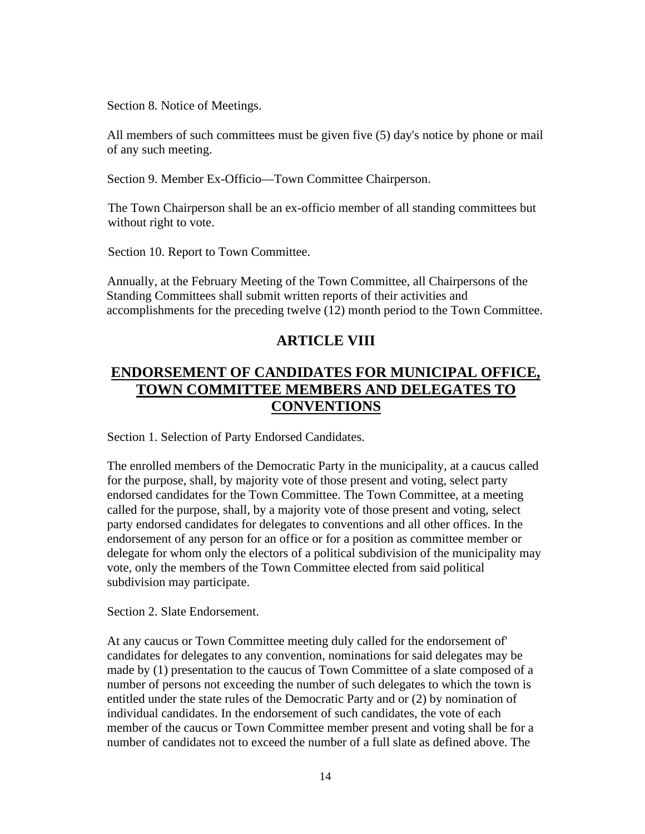Section 8. Notice of Meetings.

All members of such committees must be given five (5) day's notice by phone or mail of any such meeting.

Section 9. Member Ex-Officio—Town Committee Chairperson.

The Town Chairperson shall be an ex-officio member of all standing committees but without right to vote.

Section 10. Report to Town Committee.

Annually, at the February Meeting of the Town Committee, all Chairpersons of the Standing Committees shall submit written reports of their activities and accomplishments for the preceding twelve (12) month period to the Town Committee.

# **ARTICLE VIII**

# **ENDORSEMENT OF CANDIDATES FOR MUNICIPAL OFFICE, TOWN COMMITTEE MEMBERS AND DELEGATES TO CONVENTIONS**

Section 1. Selection of Party Endorsed Candidates.

The enrolled members of the Democratic Party in the municipality, at a caucus called for the purpose, shall, by majority vote of those present and voting, select party endorsed candidates for the Town Committee. The Town Committee, at a meeting called for the purpose, shall, by a majority vote of those present and voting, select party endorsed candidates for delegates to conventions and all other offices. In the endorsement of any person for an office or for a position as committee member or delegate for whom only the electors of a political subdivision of the municipality may vote, only the members of the Town Committee elected from said political subdivision may participate.

Section 2. Slate Endorsement.

At any caucus or Town Committee meeting duly called for the endorsement of' candidates for delegates to any convention, nominations for said delegates may be made by (1) presentation to the caucus of Town Committee of a slate composed of a number of persons not exceeding the number of such delegates to which the town is entitled under the state rules of the Democratic Party and or (2) by nomination of individual candidates. In the endorsement of such candidates, the vote of each member of the caucus or Town Committee member present and voting shall be for a number of candidates not to exceed the number of a full slate as defined above. The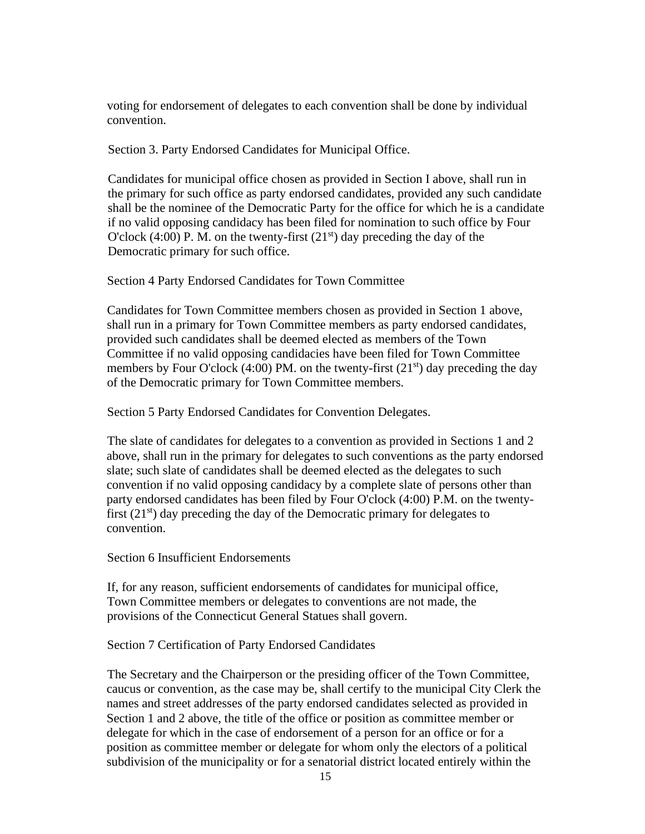voting for endorsement of delegates to each convention shall be done by individual convention.

Section 3. Party Endorsed Candidates for Municipal Office.

Candidates for municipal office chosen as provided in Section I above, shall run in the primary for such office as party endorsed candidates, provided any such candidate shall be the nominee of the Democratic Party for the office for which he is a candidate if no valid opposing candidacy has been filed for nomination to such office by Four O'clock (4:00) P. M. on the twenty-first (21<sup>st</sup>) day preceding the day of the Democratic primary for such office.

Section 4 Party Endorsed Candidates for Town Committee

Candidates for Town Committee members chosen as provided in Section 1 above, shall run in a primary for Town Committee members as party endorsed candidates, provided such candidates shall be deemed elected as members of the Town Committee if no valid opposing candidacies have been filed for Town Committee members by Four O'clock (4:00) PM. on the twenty-first (21<sup>st</sup>) day preceding the day of the Democratic primary for Town Committee members.

Section 5 Party Endorsed Candidates for Convention Delegates.

The slate of candidates for delegates to a convention as provided in Sections 1 and 2 above, shall run in the primary for delegates to such conventions as the party endorsed slate; such slate of candidates shall be deemed elected as the delegates to such convention if no valid opposing candidacy by a complete slate of persons other than party endorsed candidates has been filed by Four O'clock (4:00) P.M. on the twentyfirst  $(21<sup>st</sup>)$  day preceding the day of the Democratic primary for delegates to convention.

Section 6 Insufficient Endorsements

If, for any reason, sufficient endorsements of candidates for municipal office, Town Committee members or delegates to conventions are not made, the provisions of the Connecticut General Statues shall govern.

Section 7 Certification of Party Endorsed Candidates

The Secretary and the Chairperson or the presiding officer of the Town Committee, caucus or convention, as the case may be, shall certify to the municipal City Clerk the names and street addresses of the party endorsed candidates selected as provided in Section 1 and 2 above, the title of the office or position as committee member or delegate for which in the case of endorsement of a person for an office or for a position as committee member or delegate for whom only the electors of a political subdivision of the municipality or for a senatorial district located entirely within the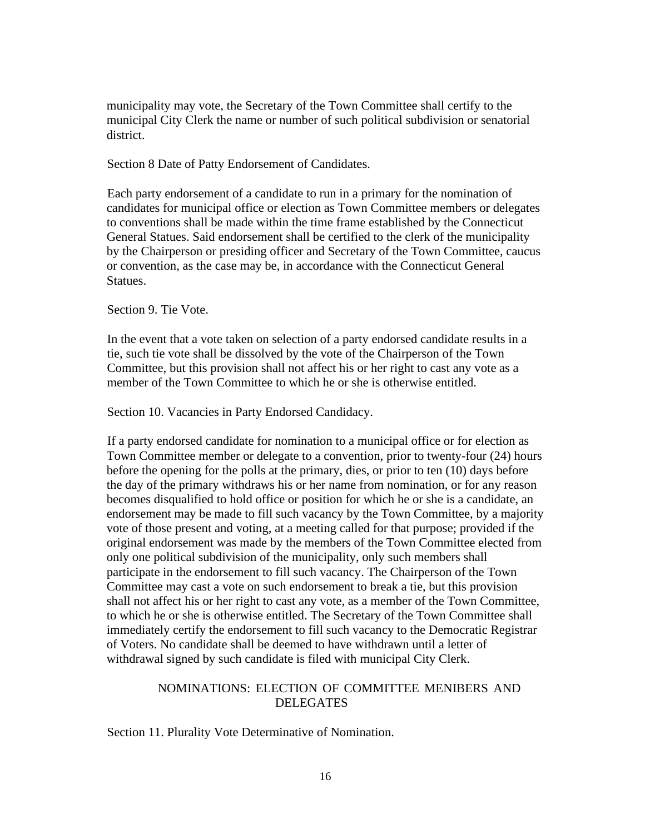municipality may vote, the Secretary of the Town Committee shall certify to the municipal City Clerk the name or number of such political subdivision or senatorial district.

Section 8 Date of Patty Endorsement of Candidates.

Each party endorsement of a candidate to run in a primary for the nomination of candidates for municipal office or election as Town Committee members or delegates to conventions shall be made within the time frame established by the Connecticut General Statues. Said endorsement shall be certified to the clerk of the municipality by the Chairperson or presiding officer and Secretary of the Town Committee, caucus or convention, as the case may be, in accordance with the Connecticut General Statues.

Section 9. Tie Vote.

In the event that a vote taken on selection of a party endorsed candidate results in a tie, such tie vote shall be dissolved by the vote of the Chairperson of the Town Committee, but this provision shall not affect his or her right to cast any vote as a member of the Town Committee to which he or she is otherwise entitled.

Section 10. Vacancies in Party Endorsed Candidacy.

If a party endorsed candidate for nomination to a municipal office or for election as Town Committee member or delegate to a convention, prior to twenty-four (24) hours before the opening for the polls at the primary, dies, or prior to ten (10) days before the day of the primary withdraws his or her name from nomination, or for any reason becomes disqualified to hold office or position for which he or she is a candidate, an endorsement may be made to fill such vacancy by the Town Committee, by a majority vote of those present and voting, at a meeting called for that purpose; provided if the original endorsement was made by the members of the Town Committee elected from only one political subdivision of the municipality, only such members shall participate in the endorsement to fill such vacancy. The Chairperson of the Town Committee may cast a vote on such endorsement to break a tie, but this provision shall not affect his or her right to cast any vote, as a member of the Town Committee, to which he or she is otherwise entitled. The Secretary of the Town Committee shall immediately certify the endorsement to fill such vacancy to the Democratic Registrar of Voters. No candidate shall be deemed to have withdrawn until a letter of withdrawal signed by such candidate is filed with municipal City Clerk.

#### NOMINATIONS: ELECTION OF COMMITTEE MENIBERS AND DELEGATES

Section 11. Plurality Vote Determinative of Nomination.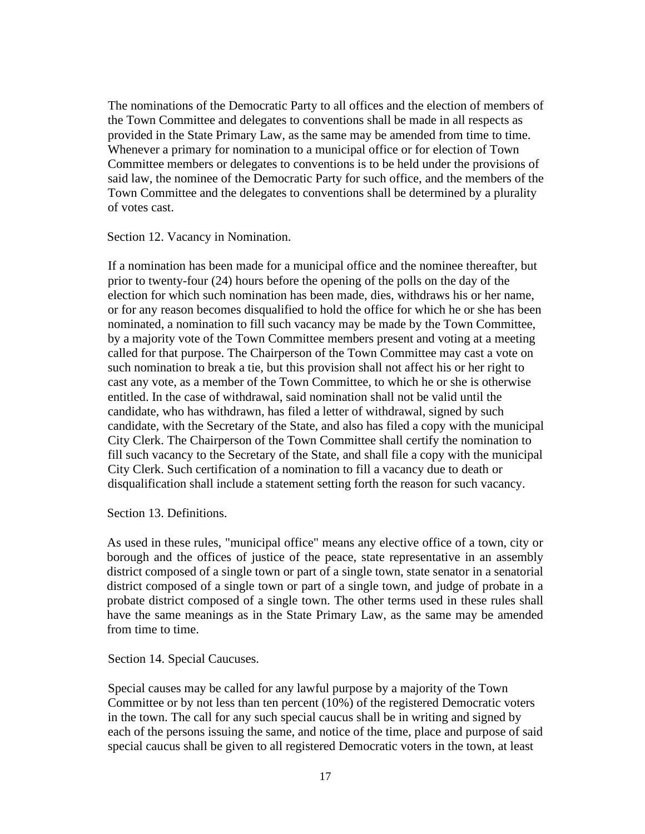The nominations of the Democratic Party to all offices and the election of members of the Town Committee and delegates to conventions shall be made in all respects as provided in the State Primary Law, as the same may be amended from time to time. Whenever a primary for nomination to a municipal office or for election of Town Committee members or delegates to conventions is to be held under the provisions of said law, the nominee of the Democratic Party for such office, and the members of the Town Committee and the delegates to conventions shall be determined by a plurality of votes cast.

Section 12. Vacancy in Nomination.

If a nomination has been made for a municipal office and the nominee thereafter, but prior to twenty-four (24) hours before the opening of the polls on the day of the election for which such nomination has been made, dies, withdraws his or her name, or for any reason becomes disqualified to hold the office for which he or she has been nominated, a nomination to fill such vacancy may be made by the Town Committee, by a majority vote of the Town Committee members present and voting at a meeting called for that purpose. The Chairperson of the Town Committee may cast a vote on such nomination to break a tie, but this provision shall not affect his or her right to cast any vote, as a member of the Town Committee, to which he or she is otherwise entitled. In the case of withdrawal, said nomination shall not be valid until the candidate, who has withdrawn, has filed a letter of withdrawal, signed by such candidate, with the Secretary of the State, and also has filed a copy with the municipal City Clerk. The Chairperson of the Town Committee shall certify the nomination to fill such vacancy to the Secretary of the State, and shall file a copy with the municipal City Clerk. Such certification of a nomination to fill a vacancy due to death or disqualification shall include a statement setting forth the reason for such vacancy.

Section 13. Definitions.

As used in these rules, "municipal office" means any elective office of a town, city or borough and the offices of justice of the peace, state representative in an assembly district composed of a single town or part of a single town, state senator in a senatorial district composed of a single town or part of a single town, and judge of probate in a probate district composed of a single town. The other terms used in these rules shall have the same meanings as in the State Primary Law, as the same may be amended from time to time.

Section 14. Special Caucuses.

Special causes may be called for any lawful purpose by a majority of the Town Committee or by not less than ten percent (10%) of the registered Democratic voters in the town. The call for any such special caucus shall be in writing and signed by each of the persons issuing the same, and notice of the time, place and purpose of said special caucus shall be given to all registered Democratic voters in the town, at least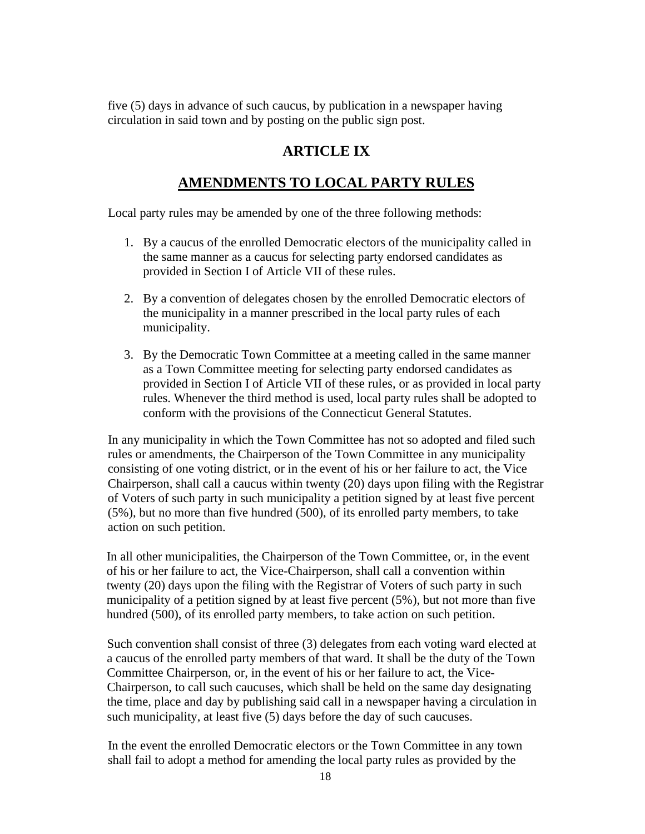five (5) days in advance of such caucus, by publication in a newspaper having circulation in said town and by posting on the public sign post.

### **ARTICLE IX**

# **AMENDMENTS TO LOCAL PARTY RULES**

Local party rules may be amended by one of the three following methods:

- 1. By a caucus of the enrolled Democratic electors of the municipality called in the same manner as a caucus for selecting party endorsed candidates as provided in Section I of Article VII of these rules.
- 2. By a convention of delegates chosen by the enrolled Democratic electors of the municipality in a manner prescribed in the local party rules of each municipality.
- 3. By the Democratic Town Committee at a meeting called in the same manner as a Town Committee meeting for selecting party endorsed candidates as provided in Section I of Article VII of these rules, or as provided in local party rules. Whenever the third method is used, local party rules shall be adopted to conform with the provisions of the Connecticut General Statutes.

In any municipality in which the Town Committee has not so adopted and filed such rules or amendments, the Chairperson of the Town Committee in any municipality consisting of one voting district, or in the event of his or her failure to act, the Vice Chairperson, shall call a caucus within twenty (20) days upon filing with the Registrar of Voters of such party in such municipality a petition signed by at least five percent (5%), but no more than five hundred (500), of its enrolled party members, to take action on such petition.

In all other municipalities, the Chairperson of the Town Committee, or, in the event of his or her failure to act, the Vice-Chairperson, shall call a convention within twenty (20) days upon the filing with the Registrar of Voters of such party in such municipality of a petition signed by at least five percent (5%), but not more than five hundred (500), of its enrolled party members, to take action on such petition.

Such convention shall consist of three (3) delegates from each voting ward elected at a caucus of the enrolled party members of that ward. It shall be the duty of the Town Committee Chairperson, or, in the event of his or her failure to act, the Vice-Chairperson, to call such caucuses, which shall be held on the same day designating the time, place and day by publishing said call in a newspaper having a circulation in such municipality, at least five (5) days before the day of such caucuses.

In the event the enrolled Democratic electors or the Town Committee in any town shall fail to adopt a method for amending the local party rules as provided by the